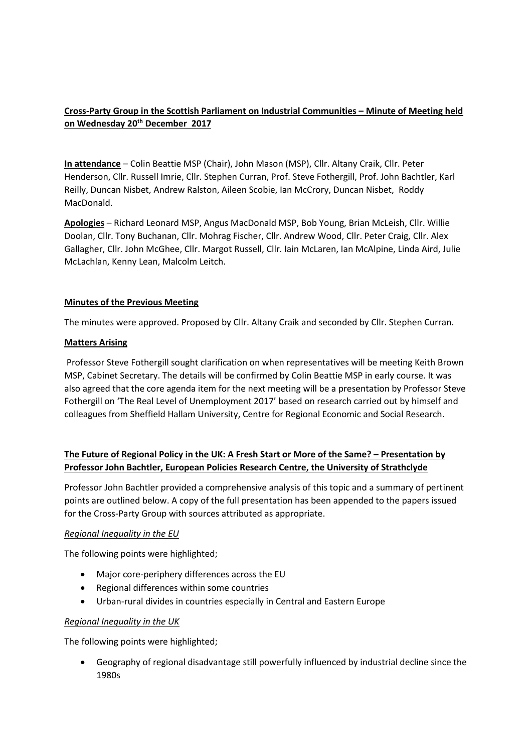# **Cross-Party Group in the Scottish Parliament on Industrial Communities – Minute of Meeting held on Wednesday 20 th December 2017**

**In attendance** – Colin Beattie MSP (Chair), John Mason (MSP), Cllr. Altany Craik, Cllr. Peter Henderson, Cllr. Russell Imrie, Cllr. Stephen Curran, Prof. Steve Fothergill, Prof. John Bachtler, Karl Reilly, Duncan Nisbet, Andrew Ralston, Aileen Scobie, Ian McCrory, Duncan Nisbet, Roddy MacDonald.

**Apologies** – Richard Leonard MSP, Angus MacDonald MSP, Bob Young, Brian McLeish, Cllr. Willie Doolan, Cllr. Tony Buchanan, Cllr. Mohrag Fischer, Cllr. Andrew Wood, Cllr. Peter Craig, Cllr. Alex Gallagher, Cllr. John McGhee, Cllr. Margot Russell, Cllr. Iain McLaren, Ian McAlpine, Linda Aird, Julie McLachlan, Kenny Lean, Malcolm Leitch.

## **Minutes of the Previous Meeting**

The minutes were approved. Proposed by Cllr. Altany Craik and seconded by Cllr. Stephen Curran.

### **Matters Arising**

Professor Steve Fothergill sought clarification on when representatives will be meeting Keith Brown MSP, Cabinet Secretary. The details will be confirmed by Colin Beattie MSP in early course. It was also agreed that the core agenda item for the next meeting will be a presentation by Professor Steve Fothergill on 'The Real Level of Unemployment 2017' based on research carried out by himself and colleagues from Sheffield Hallam University, Centre for Regional Economic and Social Research.

## **The Future of Regional Policy in the UK: A Fresh Start or More of the Same? – Presentation by Professor John Bachtler, European Policies Research Centre, the University of Strathclyde**

Professor John Bachtler provided a comprehensive analysis of this topic and a summary of pertinent points are outlined below. A copy of the full presentation has been appended to the papers issued for the Cross-Party Group with sources attributed as appropriate.

#### *Regional Inequality in the EU*

The following points were highlighted;

- Major core-periphery differences across the EU
- Regional differences within some countries
- Urban-rural divides in countries especially in Central and Eastern Europe

#### *Regional Inequality in the UK*

The following points were highlighted;

• Geography of regional disadvantage still powerfully influenced by industrial decline since the 1980s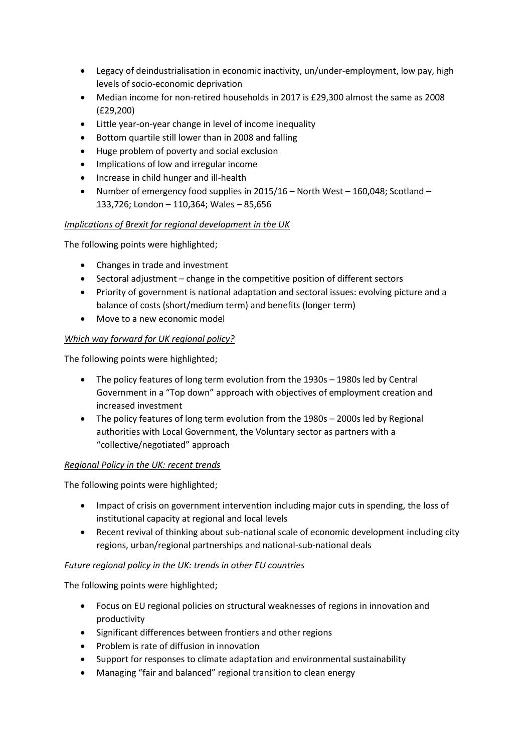- Legacy of deindustrialisation in economic inactivity, un/under-employment, low pay, high levels of socio-economic deprivation
- Median income for non-retired households in 2017 is £29,300 almost the same as 2008 (£29,200)
- Little year-on-year change in level of income inequality
- Bottom quartile still lower than in 2008 and falling
- Huge problem of poverty and social exclusion
- Implications of low and irregular income
- Increase in child hunger and ill-health
- Number of emergency food supplies in 2015/16 North West 160,048; Scotland 133,726; London – 110,364; Wales – 85,656

# *Implications of Brexit for regional development in the UK*

The following points were highlighted;

- Changes in trade and investment
- Sectoral adjustment change in the competitive position of different sectors
- Priority of government is national adaptation and sectoral issues: evolving picture and a balance of costs (short/medium term) and benefits (longer term)
- Move to a new economic model

# *Which way forward for UK regional policy?*

The following points were highlighted;

- The policy features of long term evolution from the 1930s 1980s led by Central Government in a "Top down" approach with objectives of employment creation and increased investment
- The policy features of long term evolution from the 1980s 2000s led by Regional authorities with Local Government, the Voluntary sector as partners with a "collective/negotiated" approach

## *Regional Policy in the UK: recent trends*

The following points were highlighted;

- Impact of crisis on government intervention including major cuts in spending, the loss of institutional capacity at regional and local levels
- Recent revival of thinking about sub-national scale of economic development including city regions, urban/regional partnerships and national-sub-national deals

## *Future regional policy in the UK: trends in other EU countries*

The following points were highlighted;

- Focus on EU regional policies on structural weaknesses of regions in innovation and productivity
- Significant differences between frontiers and other regions
- Problem is rate of diffusion in innovation
- Support for responses to climate adaptation and environmental sustainability
- Managing "fair and balanced" regional transition to clean energy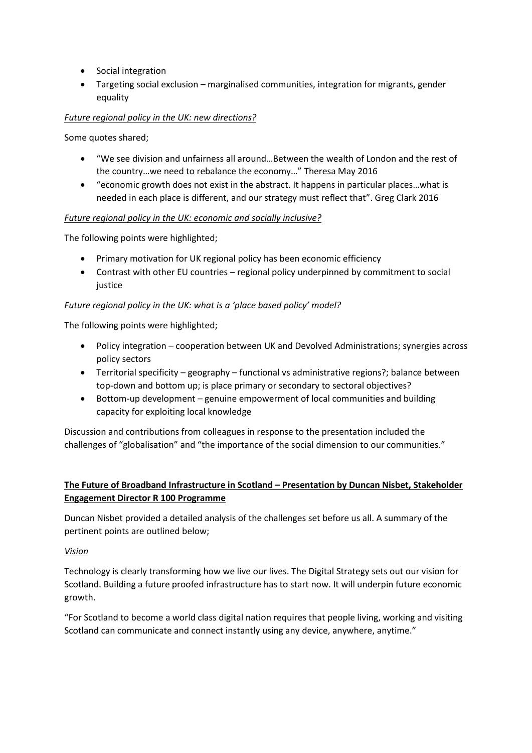- Social integration
- Targeting social exclusion marginalised communities, integration for migrants, gender equality

## *Future regional policy in the UK: new directions?*

Some quotes shared;

- "We see division and unfairness all around…Between the wealth of London and the rest of the country…we need to rebalance the economy…" Theresa May 2016
- "economic growth does not exist in the abstract. It happens in particular places…what is needed in each place is different, and our strategy must reflect that". Greg Clark 2016

### *Future regional policy in the UK: economic and socially inclusive?*

The following points were highlighted;

- Primary motivation for UK regional policy has been economic efficiency
- Contrast with other EU countries regional policy underpinned by commitment to social justice

#### *Future regional policy in the UK: what is a 'place based policy' model?*

The following points were highlighted;

- Policy integration cooperation between UK and Devolved Administrations; synergies across policy sectors
- Territorial specificity geography functional vs administrative regions?; balance between top-down and bottom up; is place primary or secondary to sectoral objectives?
- Bottom-up development genuine empowerment of local communities and building capacity for exploiting local knowledge

Discussion and contributions from colleagues in response to the presentation included the challenges of "globalisation" and "the importance of the social dimension to our communities."

# **The Future of Broadband Infrastructure in Scotland – Presentation by Duncan Nisbet, Stakeholder Engagement Director R 100 Programme**

Duncan Nisbet provided a detailed analysis of the challenges set before us all. A summary of the pertinent points are outlined below;

#### *Vision*

Technology is clearly transforming how we live our lives. The Digital Strategy sets out our vision for Scotland. Building a future proofed infrastructure has to start now. It will underpin future economic growth.

"For Scotland to become a world class digital nation requires that people living, working and visiting Scotland can communicate and connect instantly using any device, anywhere, anytime."